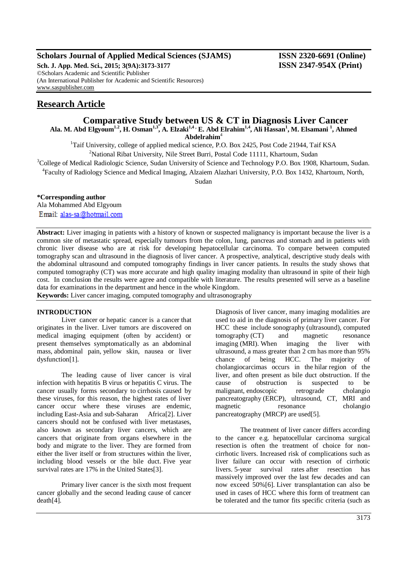## **Scholars Journal of Applied Medical Sciences (SJAMS) ISSN 2320-6691 (Online)**

**Sch. J. App. Med. Sci., 2015; 3(9A):3173-3177 ISSN 2347-954X (Print)** ©Scholars Academic and Scientific Publisher (An International Publisher for Academic and Scientific Resources) [www.saspublisher.com](http://www.saspublisher.com/)

# **Research Article**

# **Comparative Study between US & CT in Diagnosis Liver Cancer Ala. M. Abd Elgyoum1.2, H. Osman1,3, A. Elzaki1,4 , E. Abd Elrahim1,4, Ali Hassan<sup>1</sup> , M. Elsamani <sup>1</sup> , Ahmed**

**Abdelrahim**<sup>4</sup>

<sup>1</sup>Taif University, college of applied medical science, P.O. Box 2425, Post Code 21944, Taif KSA

 $2$ National Ribat University, Nile Street Burri, Postal Code 11111, Khartoum, Sudan

<sup>3</sup>College of Medical Radiologic Science, Sudan University of Science and Technology P.O. Box 1908, Khartoum, Sudan.

4 Faculty of Radiology Science and Medical Imaging, Alzaiem Alazhari University, P.O. Box 1432, Khartoum, North,

Sudan

## **\*Corresponding author**

Ala Mohammed Abd Elgyoum Email: alas-sa@hotmail.com

**Abstract:** Liver imaging in patients with a history of known or suspected malignancy is important because the liver is a common site of metastatic spread, especially tumours from the colon, lung, pancreas and stomach and in patients with chronic liver disease who are at risk for developing hepatocellular carcinoma. To compare between computed tomography scan and ultrasound in the diagnosis of liver cancer. A prospective, analytical, descriptive study deals with the abdominal ultrasound and computed tomography findings in liver cancer patients. In results the study shows that computed tomography (CT) was more accurate and high quality imaging modality than ultrasound in spite of their high cost. In conclusion the results were agree and compatible with literature. The results presented will serve as a baseline data for examinations in the department and hence in the whole Kingdom.

**Keywords:** Liver cancer imaging, computed tomography and ultrasonography

### **INTRODUCTION**

Liver cancer or hepatic cancer is a [cancer](http://en.wikipedia.org/wiki/Cancer) that originates in the [liver.](http://en.wikipedia.org/wiki/Liver) Liver tumors are discovered on medical imaging equipment (often by accident) or present themselves symptomatically as an abdominal mass, [abdominal pain,](http://en.wikipedia.org/wiki/Abdominal_pain) [yellow skin,](http://en.wikipedia.org/wiki/Jaundice) nausea or liver dysfunctio[n\[1\].](http://en.wikipedia.org/wiki/Liver_cancer#cite_note-1)

The leading cause of liver cancer is viral infection with [hepatitis B](http://en.wikipedia.org/wiki/Hepatitis_B) virus or [hepatitis C](http://en.wikipedia.org/wiki/Hepatitis_C) virus. The cancer usually forms secondary to [cirrhosis](http://en.wikipedia.org/wiki/Cirrhosis) caused by these viruses, for this reason, the highest rates of liver cancer occur where these viruses are endemic, including [East-Asia](http://en.wikipedia.org/wiki/Eastern_Asia) and [sub-Saharan Africa\[](http://en.wikipedia.org/wiki/Sub-Saharan_Africa)2]. Liver cancers should not be confused with liver metastases, also known as secondary liver cancers, which are cancers that originate from organs elsewhere in the body and migrate to the liver. They are formed from either the liver itself or from structures within the liver, including blood vessels or the bile duct. [Five year](http://en.wikipedia.org/wiki/Five_year_survival_rates)  [survival rates](http://en.wikipedia.org/wiki/Five_year_survival_rates) are 17% in the United States[3].

Primary liver cancer is the sixth most frequent cancer globally and the second leading cause of cancer death[4].

Diagnosis of liver cancer, many imaging modalities are used to aid in the diagnosis of primary liver cancer. For HCC these include [sonography](http://en.wikipedia.org/wiki/Medical_ultrasonography) (ultrasound), [computed](http://en.wikipedia.org/wiki/Computed_tomography)  [tomography](http://en.wikipedia.org/wiki/Computed_tomography) (CT) and [magnetic resonance](http://en.wikipedia.org/wiki/Magnetic_resonance_imaging)  [imaging](http://en.wikipedia.org/wiki/Magnetic_resonance_imaging) (MRI). When imaging the liver with ultrasound, a mass greater than 2 cm has more than 95% chance of being HCC. The majority of cholangiocarcimas occurs in the [hilar](http://en.wikipedia.org/w/index.php?title=Hilus_(liver)&action=edit&redlink=1) region of the liver, and often present as bile duct obstruction. If the cause of obstruction is suspected to be malignant, [endoscopic retrograde cholangio](http://en.wikipedia.org/wiki/Endoscopic_retrograde_cholangiopancreatography)  [pancreatography](http://en.wikipedia.org/wiki/Endoscopic_retrograde_cholangiopancreatography) (ERCP), ultrasound, CT, MRI and [magnetic resonance cholangio](http://en.wikipedia.org/wiki/Magnetic_resonance_cholangiopancreatography)  [pancreatography](http://en.wikipedia.org/wiki/Magnetic_resonance_cholangiopancreatography) (MRCP) are used[5].

The treatment of liver cancer differs according to the cancer e.g. hepatocellular carcinoma [surgical](http://en.wikipedia.org/wiki/Segmental_resection)  [resection](http://en.wikipedia.org/wiki/Segmental_resection) is often the treatment of choice for noncirrhotic livers. Increased risk of complications such as liver failure can occur with resection of cirrhotic livers. [5-year survival rates](http://en.wikipedia.org/wiki/5-year_survival_rate) after resection has massively improved over the last few decades and can now exceed 50[%\[6\].](http://en.wikipedia.org/wiki/Liver_cancer#cite_note-pmid21374666-28) [Liver transplantation](http://en.wikipedia.org/wiki/Liver_transplantation) can also be used in cases of HCC where this form of treatment can be tolerated and the tumor fits specific criteria (such as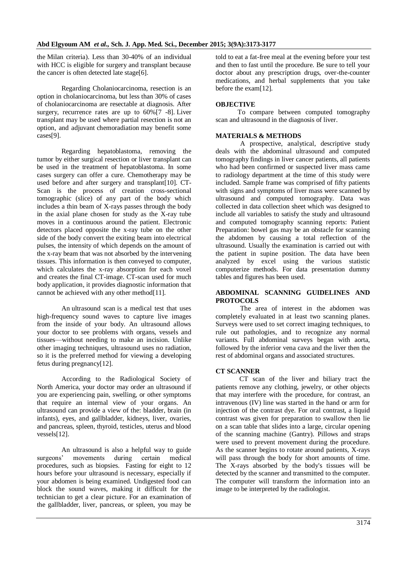the [Milan criteria\)](http://en.wikipedia.org/wiki/Milan_criteria). Less than 30-40% of an individual with HCC is eligible for surgery and transplant because the cancer is often detected late stag[e\[6\].](http://en.wikipedia.org/wiki/Liver_cancer#cite_note-pmid21374666-28)

Regarding Cholaniocarcinoma, resection is an option in cholaniocarcinoma, but less than 30% of cases of cholaniocarcinoma are resectable at diagnosis. After surgery, recurrence rates are up to  $60\%$  [7 -8]. Liver transplant may be used where partial resection is not an option, and adjuvant [chemoradiation](http://en.wikipedia.org/wiki/Chemoradiation) may benefit some case[s\[9\].](http://en.wikipedia.org/wiki/Liver_cancer#cite_note-pmid22982100-20)

Regarding hepatoblastoma, removing the tumor by either [surgical resection](http://en.wikipedia.org/wiki/Segmental_resection) or [liver transplant](http://en.wikipedia.org/wiki/Liver_transplant) can be used in the treatment of hepatoblastoma. In some cases surgery can offer a cure. Chemotherapy may be used before and after surgery and transplan[t\[10\].](http://en.wikipedia.org/wiki/Liver_cancer#cite_note-36) CT-Scan is the process of creation cross-sectional tomographic (slice) of any part of the body which includes a thin beam of X-rays passes through the body in the axial plane chosen for study as the X-ray tube moves in a continuous around the patient. Electronic detectors placed opposite the x-ray tube on the other side of the body convert the exiting beam into electrical pulses, the intensity of which depends on the amount of the x-ray beam that was not absorbed by the intervening tissues. This information is then conveyed to computer, which calculates the x-ray absorption for each voxel and creates the final CT-image. CT-scan used for much body application, it provides diagnostic information that cannot be achieved with any other metho[d\[11\].](http://en.wikipedia.org/wiki/Liver_cancer#cite_note-36)

An ultrasound scan is a medical test that uses high-frequency sound waves to capture live images from the inside of your body. An ultrasound allows your doctor to see problems with organs, vessels and tissues—without needing to make an incision. Unlike other imaging techniques, ultrasound uses no radiation, so it is the preferred method for viewing a developing fetus during pregnanc[y\[12\].](http://en.wikipedia.org/wiki/Liver_cancer#cite_note-36)

According to the Radiological Society of North America, your doctor may order an ultrasound if you are experiencing pain, swelling, or other symptoms that require an internal view of your organs. An ultrasound can provide a view of the: bladder, brain (in infants), eyes, and gallbladder, kidneys, liver, ovaries, and pancreas, spleen, thyroid, testicles, uterus and blood vessel[s\[12\].](http://en.wikipedia.org/wiki/Liver_cancer#cite_note-36)

An ultrasound is also a helpful way to guide surgeons' movements during certain medical procedures, such as biopsies. Fasting for eight to 12 hours before your ultrasound is necessary, especially if your abdomen is being examined. Undigested food can block the sound waves, making it difficult for the technician to get a clear picture. For an examination of the gallbladder, liver, pancreas, or spleen, you may be

told to eat a fat-free meal at the evening before your test and then to fast until the procedure. Be sure to tell your doctor about any prescription drugs, over-the-counter medications, and herbal supplements that you take before the exa[m\[12\].](http://en.wikipedia.org/wiki/Liver_cancer#cite_note-36)

#### **OBJECTIVE**

To compare between computed tomography scan and ultrasound in the diagnosis of liver.

#### **MATERIALS & METHODS**

A prospective, analytical, descriptive study deals with the abdominal ultrasound and computed tomography findings in liver cancer patients, all patients who had been confirmed or suspected liver mass came to radiology department at the time of this study were included. Sample frame was comprised of fifty patients with signs and symptoms of liver mass were scanned by ultrasound and computed tomography. Data was collected in data collection sheet which was designed to include all variables to satisfy the study and ultrasound and computed tomography scanning reports: Patient Preparation: bowel gas may be an obstacle for scanning the abdomen by causing a total reflection of the ultrasound. Usually the examination is carried out with the patient in supine position. The data have been analyzed by excel using the various statistic computerize methods. For data presentation dummy tables and figures has been used.

### **ABDOMINAL SCANNING GUIDELINES AND PROTOCOLS**

The area of interest in the abdomen was completely evaluated in at least two scanning planes. Surveys were used to set correct imaging techniques, to rule out pathologies, and to recognize any normal variants. Full abdominal surveys began with aorta, followed by the inferior vena cava and the liver then the rest of abdominal organs and associated structures.

### **CT SCANNER**

CT scan of the liver and biliary tract the patients remove any clothing, jewelry, or other objects that may interfere with the procedure, for contrast, an intravenous (IV) line was started in the hand or arm for injection of the contrast dye. For oral contrast, a liquid contrast was given for preparation to swallow then lie on a scan table that slides into a large, circular opening of the scanning machine (Gantry). Pillows and straps were used to prevent movement during the procedure. As the scanner begins to rotate around patients, X-rays will pass through the body for short amounts of time. The X-rays absorbed by the body's tissues will be detected by the scanner and transmitted to the computer. The computer will transform the information into an image to be interpreted by the radiologist.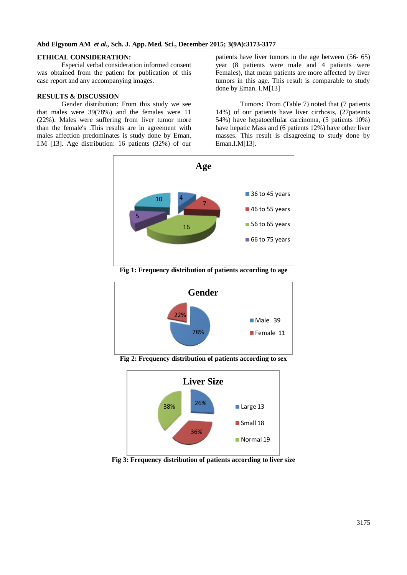#### **ETHICAL CONSIDERATION:**

Especial verbal consideration informed consent was obtained from the patient for publication of this case report and any accompanying images.

#### **RESULTS & DISCUSSION**

Gender distribution: From this study we see that males were 39(78%) and the females were 11 (22%). Males were suffering from liver tumor more than the female's .This results are in agreement with males affection predominates is study done by Eman. I.M [13]. Age distribution: 16 patients (32%) of our patients have liver tumors in the age between (56- 65) year (8 patients were male and 4 patients were Females), that mean patients are more affected by liver tumors in this age. This result is comparable to study done by Eman. I.M[13]

Tumors**:** From (Table 7) noted that (7 patients 14%) of our patients have liver cirrhosis, (27pateints 54%) have hepatocellular carcinoma, (5 patients 10%) have hepatic Mass and (6 patients 12%) have other liver masses. This result is disagreeing to study done by Eman.I.M[13].



**Fig 1: Frequency distribution of patients according to age**



**Fig 2: Frequency distribution of patients according to sex**



**Fig 3: Frequency distribution of patients according to liver size**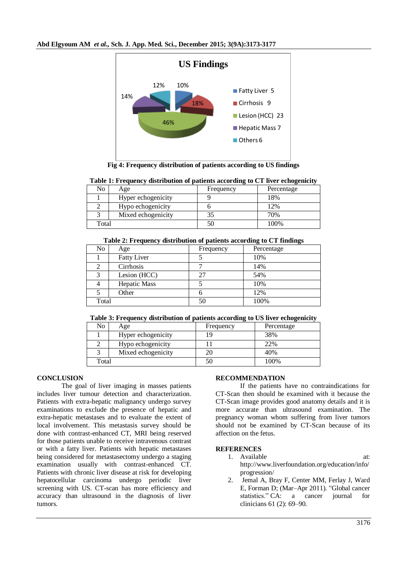

**Fig 4: Frequency distribution of patients according to US findings**

| No    | Age                | o<br>Frequency | Percentage |
|-------|--------------------|----------------|------------|
|       | Hyper echogenicity |                | 18%        |
|       | Hypo echogenicity  |                | 12%        |
|       | Mixed echogenicity |                | 70%        |
| Total |                    | 50             | 100%       |

|  | Table 1: Frequency distribution of patients according to CT liver echogenicity |  |  |  |  |  |
|--|--------------------------------------------------------------------------------|--|--|--|--|--|
|  |                                                                                |  |  |  |  |  |

#### **Table 2: Frequency distribution of patients according to CT findings**

| No    | Age                 | Frequency | Percentage |
|-------|---------------------|-----------|------------|
|       | <b>Fatty Liver</b>  |           | 10%        |
|       | Cirrhosis           |           | 14%        |
| 3     | Lesion (HCC)        | 27        | 54%        |
| 4     | <b>Hepatic Mass</b> |           | 10%        |
|       | Other               | ი         | 12%        |
| Total |                     | 50        | 100%       |

### **Table 3: Frequency distribution of patients according to US liver echogenicity**

| No    | Age                | Frequency | Percentage |
|-------|--------------------|-----------|------------|
|       | Hyper echogenicity |           | 38%        |
|       | Hypo echogenicity  |           | 22%        |
|       | Mixed echogenicity |           | 40%        |
| Total |                    |           | 100%       |

## **CONCLUSION**

The goal of liver imaging in masses patients includes liver tumour detection and characterization. Patients with extra-hepatic malignancy undergo survey examinations to exclude the presence of hepatic and extra-hepatic metastases and to evaluate the extent of local involvement. This metastasis survey should be done with contrast-enhanced CT, MRI being reserved for those patients unable to receive intravenous contrast or with a fatty liver. Patients with hepatic metastases being considered for metastasectomy undergo a staging examination usually with contrast-enhanced CT. Patients with chronic liver disease at risk for developing hepatocellular carcinoma undergo periodic liver screening with US. CT-scan has more efficiency and accuracy than ultrasound in the diagnosis of liver tumors.

### **RECOMMENDATION**

If the patients have no contraindications for CT-Scan then should be examined with it because the CT-Scan image provides good anatomy details and it is more accurate than ultrasound examination. The pregnancy woman whom suffering from liver tumors should not be examined by CT-Scan because of its affection on the fetus.

### **REFERENCES**

- 1. Available at: [http://www.liverfoundation.org/education/info/](http://www.liverfoundation.org/education/info/progression/) [progression/](http://www.liverfoundation.org/education/info/progression/)
- 2. Jemal A, Bray F, Center MM, Ferlay J, Ward E, Forman D; (Mar–Apr 2011). "Global cancer statistics." CA: a cancer journal for clinicians 61 (2): 69–90.